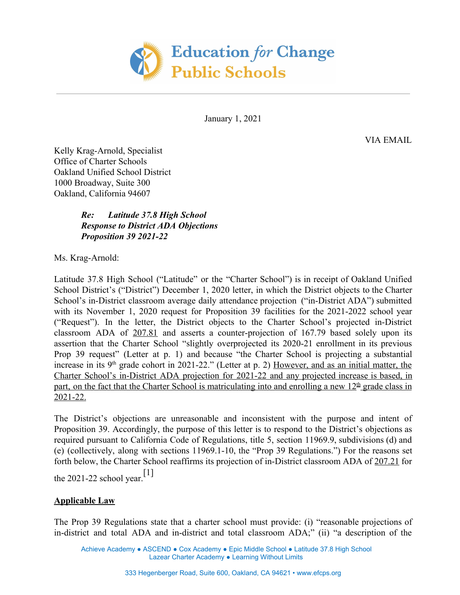

January 1, 2021

VIA EMAIL

Kelly Krag-Arnold, Specialist Office of Charter Schools Oakland Unified School District 1000 Broadway, Suite 300 Oakland, California 94607

> *Re: Latitude 37.8 High School Response to District ADA Objections Proposition 39 2021-22*

Ms. Krag-Arnold:

Latitude 37.8 High School ("Latitude" or the "Charter School") is in receipt of Oakland Unified School District's ("District") December 1, 2020 letter, in which the District objects to the Charter School's in-District classroom average daily attendance projection ("in-District ADA") submitted with its November 1, 2020 request for Proposition 39 facilities for the 2021-2022 school year ("Request"). In the letter, the District objects to the Charter School's projected in-District classroom ADA of 207.81 and asserts a counter-projection of 167.79 based solely upon its assertion that the Charter School "slightly overprojected its 2020-21 enrollment in its previous Prop 39 request" (Letter at p. 1) and because "the Charter School is projecting a substantial increase in its  $9<sup>th</sup>$  grade cohort in 2021-22." (Letter at p. 2) However, and as an initial matter, the Charter School's in-District ADA projection for 2021-22 and any projected increase is based, in part, on the fact that the Charter School is matriculating into and enrolling a new  $12<sup>th</sup>$  grade class in 2021-22.

The District's objections are unreasonable and inconsistent with the purpose and intent of Proposition 39. Accordingly, the purpose of this letter is to respond to the District's objections as required pursuant to California Code of Regulations, title 5, section 11969.9, subdivisions (d) and (e) (collectively, along with sections 11969.1-10, the "Prop 39 Regulations.") For the reasons set forth below, the Charter School reaffirms its projection of in-District classroom ADA of 207.21 for

the 2021-22 school year.<sup>[1]</sup>

## **Applicable Law**

The Prop 39 Regulations state that a charter school must provide: (i) "reasonable projections of in-district and total ADA and in-district and total classroom ADA;" (ii) "a description of the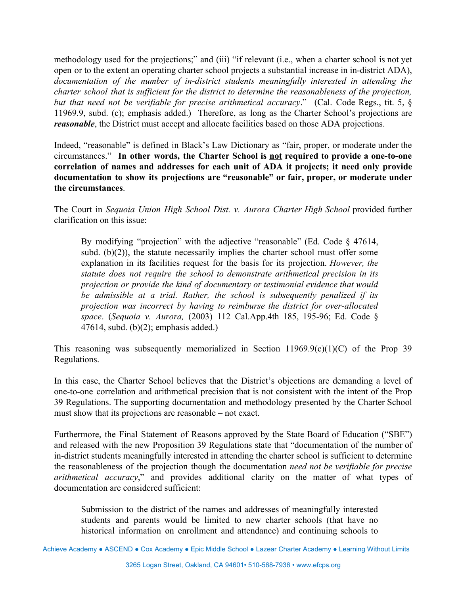methodology used for the projections;" and (iii) "if relevant (i.e., when a charter school is not yet open or to the extent an operating charter school projects a substantial increase in in-district ADA), *documentation of the number of in-district students meaningfully interested in attending the charter school that is sufficient for the district to determine the reasonableness of the projection, but that need not be verifiable for precise arithmetical accuracy*." (Cal. Code Regs., tit. 5, § 11969.9, subd. (c); emphasis added.) Therefore, as long as the Charter School's projections are *reasonable*, the District must accept and allocate facilities based on those ADA projections.

Indeed, "reasonable" is defined in Black's Law Dictionary as "fair, proper, or moderate under the circumstances." **In other words, the Charter School is not required to provide a one-to-one correlation of names and addresses for each unit of ADA it projects; it need only provide documentation to show its projections are "reasonable" or fair, proper, or moderate under the circumstances**.

The Court in *Sequoia Union High School Dist. v. Aurora Charter High School* provided further clarification on this issue:

By modifying "projection" with the adjective "reasonable" (Ed. Code § 47614, subd.  $(b)(2)$ , the statute necessarily implies the charter school must offer some explanation in its facilities request for the basis for its projection. *However, the statute does not require the school to demonstrate arithmetical precision in its projection or provide the kind of documentary or testimonial evidence that would be admissible at a trial. Rather, the school is subsequently penalized if its projection was incorrect by having to reimburse the district for over-allocated space*. (*Sequoia v. Aurora,* (2003) 112 Cal.App.4th 185, 195-96; Ed. Code § 47614, subd. (b) $(2)$ ; emphasis added.)

This reasoning was subsequently memorialized in Section 11969.9(c)(1)(C) of the Prop 39 Regulations.

In this case, the Charter School believes that the District's objections are demanding a level of one-to-one correlation and arithmetical precision that is not consistent with the intent of the Prop 39 Regulations. The supporting documentation and methodology presented by the Charter School must show that its projections are reasonable – not exact.

Furthermore, the Final Statement of Reasons approved by the State Board of Education ("SBE") and released with the new Proposition 39 Regulations state that "documentation of the number of in-district students meaningfully interested in attending the charter school is sufficient to determine the reasonableness of the projection though the documentation *need not be verifiable for precise arithmetical accuracy*," and provides additional clarity on the matter of what types of documentation are considered sufficient:

Submission to the district of the names and addresses of meaningfully interested students and parents would be limited to new charter schools (that have no historical information on enrollment and attendance) and continuing schools to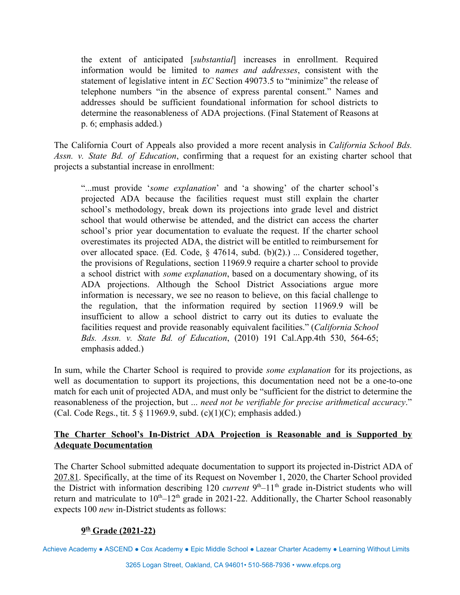the extent of anticipated [*substantial*] increases in enrollment. Required information would be limited to *names and addresses*, consistent with the statement of legislative intent in *EC* Section 49073.5 to "minimize" the release of telephone numbers "in the absence of express parental consent." Names and addresses should be sufficient foundational information for school districts to determine the reasonableness of ADA projections. (Final Statement of Reasons at p. 6; emphasis added.)

The California Court of Appeals also provided a more recent analysis in *California School Bds. Assn. v. State Bd. of Education*, confirming that a request for an existing charter school that projects a substantial increase in enrollment:

"...must provide '*some explanation*' and 'a showing' of the charter school's projected ADA because the facilities request must still explain the charter school's methodology, break down its projections into grade level and district school that would otherwise be attended, and the district can access the charter school's prior year documentation to evaluate the request. If the charter school overestimates its projected ADA, the district will be entitled to reimbursement for over allocated space. (Ed. Code, § 47614, subd. (b)(2).) ... Considered together, the provisions of Regulations, section 11969.9 require a charter school to provide a school district with *some explanation*, based on a documentary showing, of its ADA projections. Although the School District Associations argue more information is necessary, we see no reason to believe, on this facial challenge to the regulation, that the information required by section 11969.9 will be insufficient to allow a school district to carry out its duties to evaluate the facilities request and provide reasonably equivalent facilities." (*California School Bds. Assn. v. State Bd. of Education*, (2010) 191 Cal.App.4th 530, 564-65; emphasis added.)

In sum, while the Charter School is required to provide *some explanation* for its projections, as well as documentation to support its projections, this documentation need not be a one-to-one match for each unit of projected ADA, and must only be "sufficient for the district to determine the reasonableness of the projection, but ... *need not be verifiable for precise arithmetical accuracy*." (Cal. Code Regs., tit. 5  $\S$  11969.9, subd. (c)(1)(C); emphasis added.)

## **The Charter School's In-District ADA Projection is Reasonable and is Supported by Adequate Documentation**

The Charter School submitted adequate documentation to support its projected in-District ADA of 207.81. Specifically, at the time of its Request on November 1, 2020, the Charter School provided the District with information describing 120 *current* 9<sup>th</sup>–11<sup>th</sup> grade in-District students who will return and matriculate to  $10<sup>th</sup>-12<sup>th</sup>$  grade in 2021-22. Additionally, the Charter School reasonably expects 100 *new* in-District students as follows:

## **9 th Grade (2021-22)**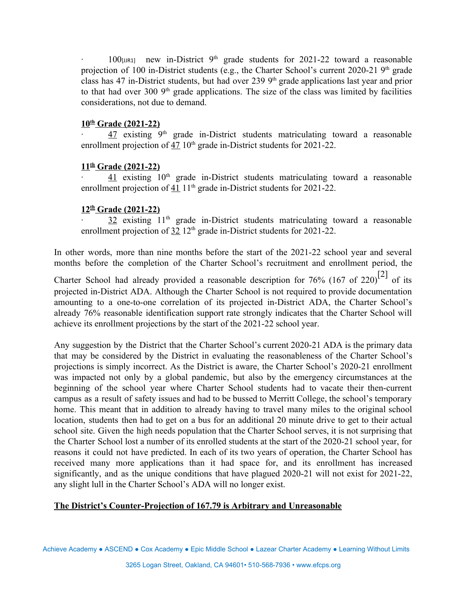$\cdot$  100 $\mu$ <sub>IM1</sub> new in-District 9<sup>th</sup> grade students for 2021-22 toward a reasonable projection of 100 in-District students (e.g., the Charter School's current 2020-21  $9<sup>th</sup>$  grade class has 47 in-District students, but had over 239  $9<sup>th</sup>$  grade applications last year and prior to that had over 300  $9<sup>th</sup>$  grade applications. The size of the class was limited by facilities considerations, not due to demand.

#### **10th Grade (2021-22)**

 $\cdot$  47 existing 9<sup>th</sup> grade in-District students matriculating toward a reasonable enrollment projection of  $47 \, 10^{th}$  grade in-District students for 2021-22.

#### **11th Grade (2021-22)**

 $\frac{41}{1}$  existing 10<sup>th</sup> grade in-District students matriculating toward a reasonable enrollment projection of  $41$  1<sup>th</sup> grade in-District students for 2021-22.

#### **12th Grade (2021-22)**

 $32$  existing  $11<sup>th</sup>$  grade in-District students matriculating toward a reasonable enrollment projection of  $32 \frac{12}{\text{th}}$  grade in-District students for 2021-22.

In other words, more than nine months before the start of the 2021-22 school year and several months before the completion of the Charter School's recruitment and enrollment period, the Charter School had already provided a reasonable description for 76% (167 of 220)<sup>[2]</sup> of its projected in-District ADA. Although the Charter School is not required to provide documentation amounting to a one-to-one correlation of its projected in-District ADA, the Charter School's already 76% reasonable identification support rate strongly indicates that the Charter School will achieve its enrollment projections by the start of the 2021-22 school year.

Any suggestion by the District that the Charter School's current 2020-21 ADA is the primary data that may be considered by the District in evaluating the reasonableness of the Charter School's projections is simply incorrect. As the District is aware, the Charter School's 2020-21 enrollment was impacted not only by a global pandemic, but also by the emergency circumstances at the beginning of the school year where Charter School students had to vacate their then-current campus as a result of safety issues and had to be bussed to Merritt College, the school's temporary home. This meant that in addition to already having to travel many miles to the original school location, students then had to get on a bus for an additional 20 minute drive to get to their actual school site. Given the high needs population that the Charter School serves, it is not surprising that the Charter School lost a number of its enrolled students at the start of the 2020-21 school year, for reasons it could not have predicted. In each of its two years of operation, the Charter School has received many more applications than it had space for, and its enrollment has increased significantly, and as the unique conditions that have plagued 2020-21 will not exist for 2021-22, any slight lull in the Charter School's ADA will no longer exist.

# **The District's Counter-Projection of 167.79 is Arbitrary and Unreasonable**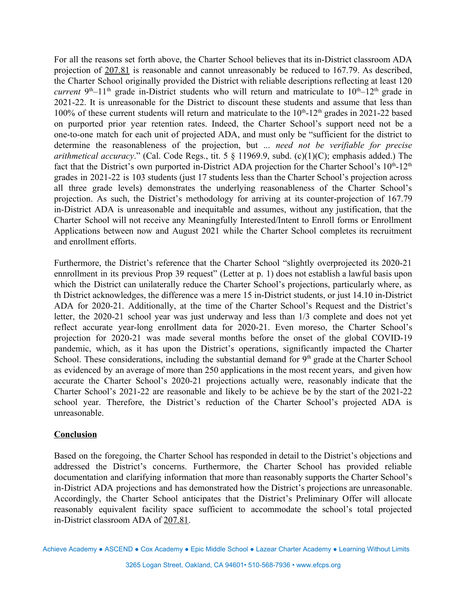For all the reasons set forth above, the Charter School believes that its in-District classroom ADA projection of 207.81 is reasonable and cannot unreasonably be reduced to 167.79. As described, the Charter School originally provided the District with reliable descriptions reflecting at least 120 *current*  $9<sup>th</sup>-11<sup>th</sup>$  grade in-District students who will return and matriculate to  $10<sup>th</sup>-12<sup>th</sup>$  grade in 2021-22. It is unreasonable for the District to discount these students and assume that less than 100% of these current students will return and matriculate to the  $10<sup>th</sup>$ -12<sup>th</sup> grades in 2021-22 based on purported prior year retention rates. Indeed, the Charter School's support need not be a one-to-one match for each unit of projected ADA, and must only be "sufficient for the district to determine the reasonableness of the projection, but ... *need not be verifiable for precise arithmetical accuracy*." (Cal. Code Regs., tit. 5 § 11969.9, subd. (c)(1)(C); emphasis added.) The fact that the District's own purported in-District ADA projection for the Charter School's  $10^{th}$ -12<sup>th</sup> grades in 2021-22 is 103 students (just 17 students less than the Charter School's projection across all three grade levels) demonstrates the underlying reasonableness of the Charter School's projection. As such, the District's methodology for arriving at its counter-projection of 167.79 in-District ADA is unreasonable and inequitable and assumes, without any justification, that the Charter School will not receive any Meaningfully Interested/Intent to Enroll forms or Enrollment Applications between now and August 2021 while the Charter School completes its recruitment and enrollment efforts.

Furthermore, the District's reference that the Charter School "slightly overprojected its 2020-21 ennrollment in its previous Prop 39 request" (Letter at p. 1) does not establish a lawful basis upon which the District can unilaterally reduce the Charter School's projections, particularly where, as th District acknowledges, the difference was a mere 15 in-District students, or just 14.10 in-District ADA for 2020-21. Additionally, at the time of the Charter School's Request and the District's letter, the 2020-21 school year was just underway and less than 1/3 complete and does not yet reflect accurate year-long enrollment data for 2020-21. Even moreso, the Charter School's projection for 2020-21 was made several months before the onset of the global COVID-19 pandemic, which, as it has upon the District's operations, significantly impacted the Charter School. These considerations, including the substantial demand for 9<sup>th</sup> grade at the Charter School as evidenced by an average of more than 250 applications in the most recent years, and given how accurate the Charter School's 2020-21 projections actually were, reasonably indicate that the Charter School's 2021-22 are reasonable and likely to be achieve be by the start of the 2021-22 school year. Therefore, the District's reduction of the Charter School's projected ADA is unreasonable.

### **Conclusion**

Based on the foregoing, the Charter School has responded in detail to the District's objections and addressed the District's concerns. Furthermore, the Charter School has provided reliable documentation and clarifying information that more than reasonably supports the Charter School's in-District ADA projections and has demonstrated how the District's projections are unreasonable. Accordingly, the Charter School anticipates that the District's Preliminary Offer will allocate reasonably equivalent facility space sufficient to accommodate the school's total projected in-District classroom ADA of 207.81.